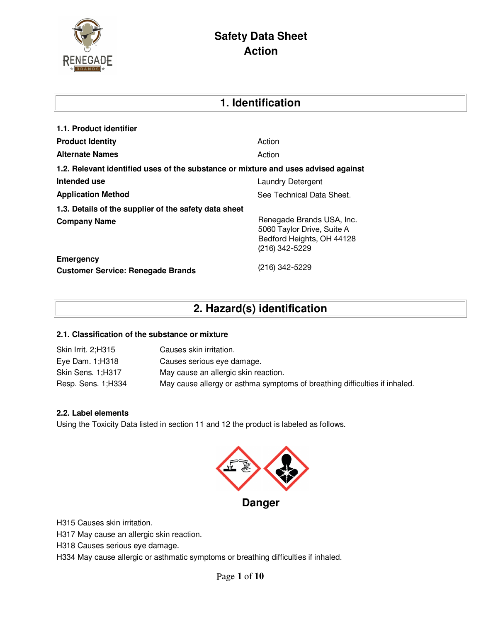

| 1. Identification                                                                  |                                                                                                        |  |  |
|------------------------------------------------------------------------------------|--------------------------------------------------------------------------------------------------------|--|--|
| 1.1. Product identifier                                                            |                                                                                                        |  |  |
| <b>Product Identity</b>                                                            | Action                                                                                                 |  |  |
| <b>Alternate Names</b>                                                             | Action                                                                                                 |  |  |
| 1.2. Relevant identified uses of the substance or mixture and uses advised against |                                                                                                        |  |  |
| Intended use                                                                       | <b>Laundry Detergent</b>                                                                               |  |  |
| <b>Application Method</b>                                                          | See Technical Data Sheet.                                                                              |  |  |
| 1.3. Details of the supplier of the safety data sheet                              |                                                                                                        |  |  |
| <b>Company Name</b>                                                                | Renegade Brands USA, Inc.<br>5060 Taylor Drive, Suite A<br>Bedford Heights, OH 44128<br>(216) 342-5229 |  |  |
| <b>Emergency</b><br><b>Customer Service: Renegade Brands</b>                       | (216) 342-5229                                                                                         |  |  |

# **2. Hazard(s) identification**

#### **2.1. Classification of the substance or mixture**

| Skin Irrit. 2;H315  | Causes skin irritation.                                                    |
|---------------------|----------------------------------------------------------------------------|
| Eye Dam. 1;H318     | Causes serious eye damage.                                                 |
| Skin Sens. 1;H317   | May cause an allergic skin reaction.                                       |
| Resp. Sens. 1; H334 | May cause allergy or asthma symptoms of breathing difficulties if inhaled. |

#### **2.2. Label elements**

Using the Toxicity Data listed in section 11 and 12 the product is labeled as follows.



H315 Causes skin irritation.

H317 May cause an allergic skin reaction.

H318 Causes serious eye damage.

H334 May cause allergic or asthmatic symptoms or breathing difficulties if inhaled.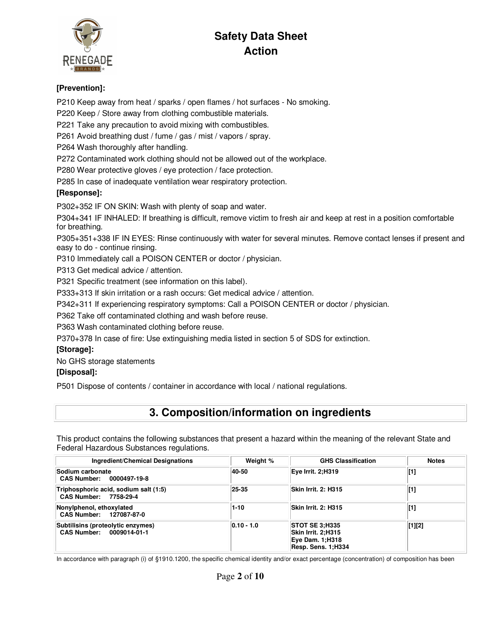

### **[Prevention]:**

P210 Keep away from heat / sparks / open flames / hot surfaces - No smoking.

P220 Keep / Store away from clothing combustible materials.

P221 Take any precaution to avoid mixing with combustibles.

P261 Avoid breathing dust / fume / gas / mist / vapors / spray.

P264 Wash thoroughly after handling.

P272 Contaminated work clothing should not be allowed out of the workplace.

P280 Wear protective gloves / eye protection / face protection.

P285 In case of inadequate ventilation wear respiratory protection.

#### **[Response]:**

P302+352 IF ON SKIN: Wash with plenty of soap and water.

P304+341 IF INHALED: If breathing is difficult, remove victim to fresh air and keep at rest in a position comfortable for breathing.

P305+351+338 IF IN EYES: Rinse continuously with water for several minutes. Remove contact lenses if present and easy to do - continue rinsing.

P310 Immediately call a POISON CENTER or doctor / physician.

P313 Get medical advice / attention.

P321 Specific treatment (see information on this label).

P333+313 If skin irritation or a rash occurs: Get medical advice / attention.

P342+311 If experiencing respiratory symptoms: Call a POISON CENTER or doctor / physician.

P362 Take off contaminated clothing and wash before reuse.

P363 Wash contaminated clothing before reuse.

P370+378 In case of fire: Use extinguishing media listed in section 5 of SDS for extinction.

#### **[Storage]:**

No GHS storage statements

### **[Disposal]:**

P501 Dispose of contents / container in accordance with local / national regulations.

## **3. Composition/information on ingredients**

This product contains the following substances that present a hazard within the meaning of the relevant State and Federal Hazardous Substances regulations.

| Ingredient/Chemical Designations                               | Weight %     | <b>GHS Classification</b>                                                                   | <b>Notes</b> |
|----------------------------------------------------------------|--------------|---------------------------------------------------------------------------------------------|--------------|
| Sodium carbonate<br>CAS Number: 0000497-19-8                   | 40-50        | Eve Irrit. 2:H319                                                                           | $[1]$        |
| Triphosphoric acid, sodium salt (1:5)<br>CAS Number: 7758-29-4 | 25-35        | Skin Irrit. 2: H315                                                                         | $[1]$        |
| Nonylphenol, ethoxylated<br>CAS Number: 127087-87-0            | $1 - 10$     | Skin Irrit. 2: H315                                                                         | $[1]$        |
| Subtilisins (proteolytic enzymes)<br>CAS Number: 0009014-01-1  | $0.10 - 1.0$ | <b>STOT SE 3:H335</b><br>Skin Irrit. 2:H315<br><b>Eye Dam. 1;H318</b><br>Resp. Sens. 1:H334 | $[1][2]$     |

In accordance with paragraph (i) of §1910.1200, the specific chemical identity and/or exact percentage (concentration) of composition has been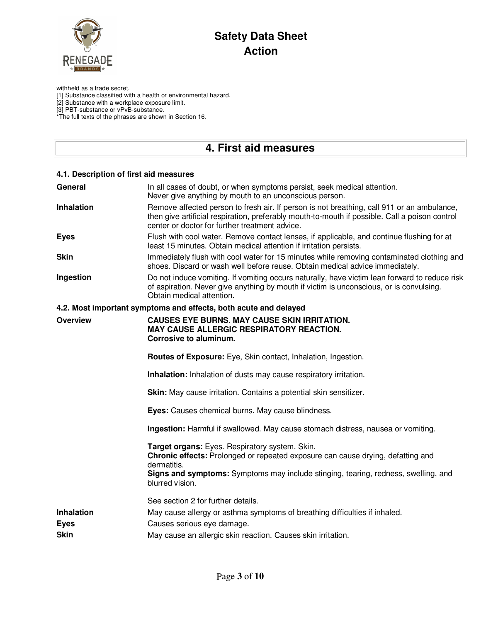

withheld as a trade secret.

[1] Substance classified with a health or environmental hazard.

[2] Substance with a workplace exposure limit.

[3] PBT-substance or vPvB-substance.

\*The full texts of the phrases are shown in Section 16.

## **4. First aid measures**

| 4.1. Description of first aid measures   |                                                                                                                                                                                                                                                           |
|------------------------------------------|-----------------------------------------------------------------------------------------------------------------------------------------------------------------------------------------------------------------------------------------------------------|
| General                                  | In all cases of doubt, or when symptoms persist, seek medical attention.<br>Never give anything by mouth to an unconscious person.                                                                                                                        |
| Inhalation                               | Remove affected person to fresh air. If person is not breathing, call 911 or an ambulance,<br>then give artificial respiration, preferably mouth-to-mouth if possible. Call a poison control<br>center or doctor for further treatment advice.            |
| <b>Eyes</b>                              | Flush with cool water. Remove contact lenses, if applicable, and continue flushing for at<br>least 15 minutes. Obtain medical attention if irritation persists.                                                                                           |
| <b>Skin</b>                              | Immediately flush with cool water for 15 minutes while removing contaminated clothing and<br>shoes. Discard or wash well before reuse. Obtain medical advice immediately.                                                                                 |
| Ingestion                                | Do not induce vomiting. If vomiting occurs naturally, have victim lean forward to reduce risk<br>of aspiration. Never give anything by mouth if victim is unconscious, or is convulsing.<br>Obtain medical attention.                                     |
|                                          | 4.2. Most important symptoms and effects, both acute and delayed                                                                                                                                                                                          |
| <b>Overview</b>                          | <b>CAUSES EYE BURNS. MAY CAUSE SKIN IRRITATION.</b><br>MAY CAUSE ALLERGIC RESPIRATORY REACTION.<br>Corrosive to aluminum.                                                                                                                                 |
|                                          | Routes of Exposure: Eye, Skin contact, Inhalation, Ingestion.                                                                                                                                                                                             |
|                                          | <b>Inhalation:</b> Inhalation of dusts may cause respiratory irritation.                                                                                                                                                                                  |
|                                          | Skin: May cause irritation. Contains a potential skin sensitizer.                                                                                                                                                                                         |
|                                          | Eyes: Causes chemical burns. May cause blindness.                                                                                                                                                                                                         |
|                                          | Ingestion: Harmful if swallowed. May cause stomach distress, nausea or vomiting.                                                                                                                                                                          |
|                                          | Target organs: Eyes. Respiratory system. Skin.<br>Chronic effects: Prolonged or repeated exposure can cause drying, defatting and<br>dermatitis.<br>Signs and symptoms: Symptoms may include stinging, tearing, redness, swelling, and<br>blurred vision. |
|                                          | See section 2 for further details.                                                                                                                                                                                                                        |
| Inhalation<br><b>Eyes</b><br><b>Skin</b> | May cause allergy or asthma symptoms of breathing difficulties if inhaled.<br>Causes serious eye damage.<br>May cause an allergic skin reaction. Causes skin irritation.                                                                                  |
|                                          |                                                                                                                                                                                                                                                           |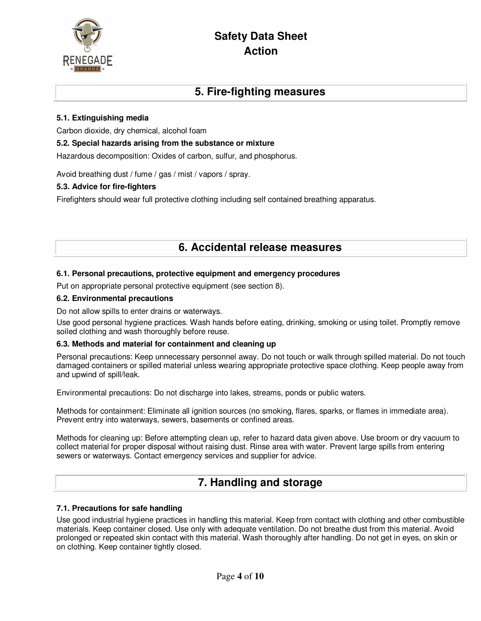

### **5. Fire-fighting measures**

#### **5.1. Extinguishing media**

Carbon dioxide, dry chemical, alcohol foam

#### **5.2. Special hazards arising from the substance or mixture**

Hazardous decomposition: Oxides of carbon, sulfur, and phosphorus.

Avoid breathing dust / fume / gas / mist / vapors / spray.

#### **5.3. Advice for fire-fighters**

Firefighters should wear full protective clothing including self contained breathing apparatus.

### **6. Accidental release measures**

#### **6.1. Personal precautions, protective equipment and emergency procedures**

Put on appropriate personal protective equipment (see section 8).

#### **6.2. Environmental precautions**

Do not allow spills to enter drains or waterways.

Use good personal hygiene practices. Wash hands before eating, drinking, smoking or using toilet. Promptly remove soiled clothing and wash thoroughly before reuse.

#### **6.3. Methods and material for containment and cleaning up**

Personal precautions: Keep unnecessary personnel away. Do not touch or walk through spilled material. Do not touch damaged containers or spilled material unless wearing appropriate protective space clothing. Keep people away from and upwind of spill/leak.

Environmental precautions: Do not discharge into lakes, streams, ponds or public waters.

Methods for containment: Eliminate all ignition sources (no smoking, flares, sparks, or flames in immediate area). Prevent entry into waterways, sewers, basements or confined areas.

Methods for cleaning up: Before attempting clean up, refer to hazard data given above. Use broom or dry vacuum to collect material for proper disposal without raising dust. Rinse area with water. Prevent large spills from entering sewers or waterways. Contact emergency services and supplier for advice.

## **7. Handling and storage**

#### **7.1. Precautions for safe handling**

Use good industrial hygiene practices in handling this material. Keep from contact with clothing and other combustible materials. Keep container closed. Use only with adequate ventilation. Do not breathe dust from this material. Avoid prolonged or repeated skin contact with this material. Wash thoroughly after handling. Do not get in eyes, on skin or on clothing. Keep container tightly closed.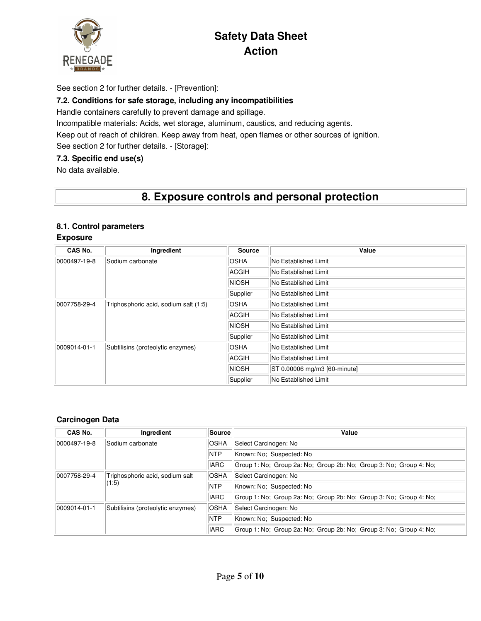

See section 2 for further details. - [Prevention]:

#### **7.2. Conditions for safe storage, including any incompatibilities**

Handle containers carefully to prevent damage and spillage.

Incompatible materials: Acids, wet storage, aluminum, caustics, and reducing agents.

Keep out of reach of children. Keep away from heat, open flames or other sources of ignition.

See section 2 for further details. - [Storage]:

#### **7.3. Specific end use(s)**

No data available.

## **8. Exposure controls and personal protection**

#### **8.1. Control parameters**

#### **Exposure**

| CAS No.                                           | Ingredient                            | <b>Source</b>        | Value                        |
|---------------------------------------------------|---------------------------------------|----------------------|------------------------------|
| 0000497-19-8                                      | Sodium carbonate                      | OSHA                 | No Established Limit         |
|                                                   |                                       | <b>ACGIH</b>         | No Established Limit         |
|                                                   |                                       | NIOSH                | No Established Limit         |
|                                                   |                                       | Supplier             | No Established Limit         |
| 0007758-29-4                                      | Triphosphoric acid, sodium salt (1:5) | OSHA                 | No Established Limit         |
|                                                   |                                       | ACGIH                | No Established Limit         |
|                                                   | NIOSH                                 | No Established Limit |                              |
|                                                   |                                       | Supplier             | No Established Limit         |
| 0009014-01-1<br>Subtilisins (proteolytic enzymes) |                                       | <b>OSHA</b>          | No Established Limit         |
|                                                   |                                       | ACGIH                | No Established Limit         |
|                                                   |                                       | NIOSH                | ST 0.00006 mg/m3 [60-minute] |
|                                                   |                                       | Supplier             | No Established Limit         |

#### **Carcinogen Data**

| CAS No.                                                  | Ingredient                        | <b>Source</b> | Value                                                              |
|----------------------------------------------------------|-----------------------------------|---------------|--------------------------------------------------------------------|
| 0000497-19-8                                             | Sodium carbonate                  | <b>OSHA</b>   | Select Carcinogen: No                                              |
|                                                          |                                   | <b>NTP</b>    | Known: No; Suspected: No                                           |
|                                                          |                                   | <b>IARC</b>   | Group 1: No; Group 2a: No; Group 2b: No; Group 3: No; Group 4: No; |
| 0007758-29-4<br>Triphosphoric acid, sodium salt<br>(1:5) |                                   | <b>OSHA</b>   | Select Carcinogen: No                                              |
|                                                          |                                   | <b>NTP</b>    | Known: No; Suspected: No                                           |
|                                                          |                                   | <b>IARC</b>   | Group 1: No; Group 2a: No; Group 2b: No; Group 3: No; Group 4: No; |
| 0009014-01-1                                             | Subtilisins (proteolytic enzymes) | <b>OSHA</b>   | Select Carcinogen: No                                              |
|                                                          |                                   | <b>NTP</b>    | Known: No; Suspected: No                                           |
|                                                          |                                   | <b>IARC</b>   | Group 1: No; Group 2a: No; Group 2b: No; Group 3: No; Group 4: No; |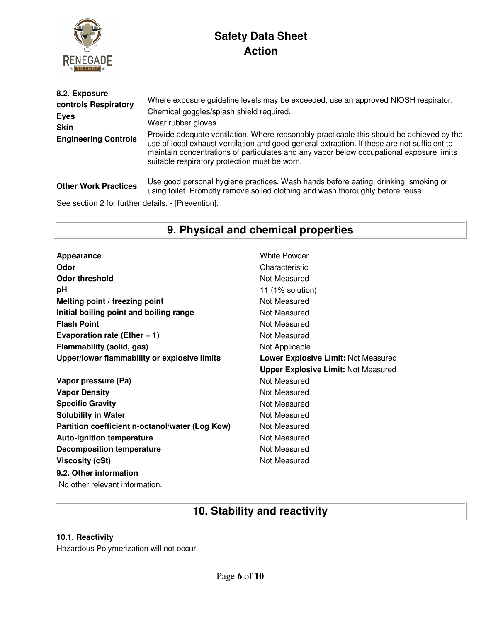

| 8.2. Exposure<br>controls Respiratory<br><b>Eyes</b><br><b>Skin</b><br><b>Engineering Controls</b> | Where exposure guideline levels may be exceeded, use an approved NIOSH respirator.<br>Chemical goggles/splash shield required.<br>Wear rubber gloves.<br>Provide adequate ventilation. Where reasonably practicable this should be achieved by the<br>use of local exhaust ventilation and good general extraction. If these are not sufficient to<br>maintain concentrations of particulates and any vapor below occupational exposure limits<br>suitable respiratory protection must be worn. |
|----------------------------------------------------------------------------------------------------|-------------------------------------------------------------------------------------------------------------------------------------------------------------------------------------------------------------------------------------------------------------------------------------------------------------------------------------------------------------------------------------------------------------------------------------------------------------------------------------------------|
| <b>Other Work Practices</b>                                                                        | Use good personal hygiene practices. Wash hands before eating, drinking, smoking or<br>using toilet. Promptly remove soiled clothing and wash thoroughly before reuse.                                                                                                                                                                                                                                                                                                                          |
| See section 2 for further details. - [Prevention]:                                                 |                                                                                                                                                                                                                                                                                                                                                                                                                                                                                                 |

# **9. Physical and chemical properties**

Appearance **Appearance** White Powder **Odor** Characteristic **Odor threshold** Not Measured **pH** 11 (1% solution) **Melting point / freezing point** Not Measured **Initial boiling point and boiling range Mot Measured Results Flash Point** Not Measured **Evaporation rate (Ether = 1)** Not Measured **Flammability (solid, gas)** Not Applicable **Upper/lower flammability or explosive limits Lower Explosive Limit:** Not Measured

**Vapor pressure (Pa)** Not Measured **Vapor Density Not Measured** Not Measured **Specific Gravity Not Measured** Not Measured **Solubility in Water** Not Measured **Partition coefficient n-octanol/water (Log Kow)** Not Measured **Auto-ignition temperature Not Measured Not Measured Decomposition temperature** Not Measured **Viscosity (cSt)** Not Measured **9.2. Other information**

**Upper Explosive Limit:** Not Measured

No other relevant information.

## **10. Stability and reactivity**

#### **10.1. Reactivity**

Hazardous Polymerization will not occur.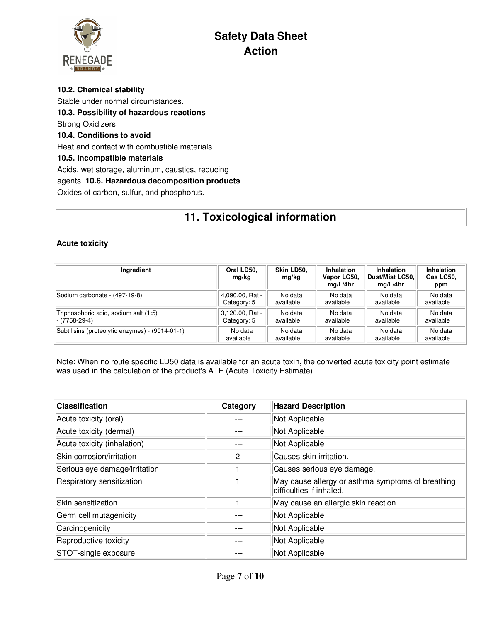

**10.2. Chemical stability**  Stable under normal circumstances. **10.3. Possibility of hazardous reactions**  Strong Oxidizers **10.4. Conditions to avoid**  Heat and contact with combustible materials. **10.5. Incompatible materials**  Acids, wet storage, aluminum, caustics, reducing agents. **10.6. Hazardous decomposition products**  Oxides of carbon, sulfur, and phosphorus.

# **11. Toxicological information**

#### **Acute toxicity**

| Ingredient                                      | Oral LD50.<br>mg/kg | Skin LD50.<br>mg/kg | Inhalation<br>Vapor LC50,<br>mq/L/4hr | <b>Inhalation</b><br>Dust/Mist LC50.<br>mq/L/4hr | <b>Inhalation</b><br>Gas LC50,<br>ppm |
|-------------------------------------------------|---------------------|---------------------|---------------------------------------|--------------------------------------------------|---------------------------------------|
| Sodium carbonate - (497-19-8)                   | 4,090.00, Rat -     | No data             | No data                               | No data                                          | No data                               |
|                                                 | Category: 5         | available           | available                             | available                                        | available                             |
| Triphosphoric acid, sodium salt (1:5)           | 3,120.00, Rat -     | No data             | No data                               | No data                                          | No data                               |
| $- (7758-29-4)$                                 | Category: 5         | available           | available                             | available                                        | available                             |
| Subtilisins (proteolytic enzymes) - (9014-01-1) | No data             | No data             | No data                               | No data                                          | No data                               |
|                                                 | available           | available           | available                             | available                                        | available                             |

Note: When no route specific LD50 data is available for an acute toxin, the converted acute toxicity point estimate was used in the calculation of the product's ATE (Acute Toxicity Estimate).

| <b>Classification</b>         | Category | <b>Hazard Description</b>                                                     |
|-------------------------------|----------|-------------------------------------------------------------------------------|
| Acute toxicity (oral)         |          | Not Applicable                                                                |
| Acute toxicity (dermal)       |          | Not Applicable                                                                |
| Acute toxicity (inhalation)   |          | Not Applicable                                                                |
| Skin corrosion/irritation     | 2        | Causes skin irritation.                                                       |
| Serious eye damage/irritation |          | Causes serious eye damage.                                                    |
| Respiratory sensitization     |          | May cause allergy or asthma symptoms of breathing<br>difficulties if inhaled. |
| Skin sensitization            |          | May cause an allergic skin reaction.                                          |
| Germ cell mutagenicity        |          | Not Applicable                                                                |
| Carcinogenicity               |          | Not Applicable                                                                |
| Reproductive toxicity         |          | Not Applicable                                                                |
| STOT-single exposure          |          | Not Applicable                                                                |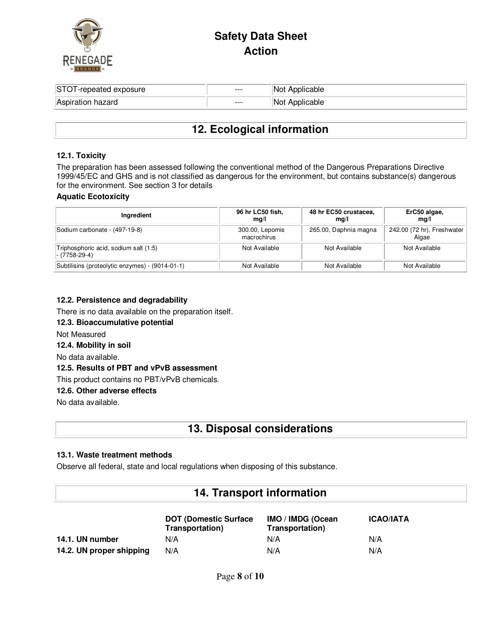

| STG<br>exposure<br>oeated. | $---$ | piicapie |
|----------------------------|-------|----------|
| ⊺Aspir<br>hazard<br>alion  | $---$ | plicable |

## **12. Ecological information**

#### **12.1. Toxicity**

The preparation has been assessed following the conventional method of the Dangerous Preparations Directive 1999/45/EC and GHS and is not classified as dangerous for the environment, but contains substance(s) dangerous for the environment. See section 3 for details

#### **Aquatic Ecotoxicity**

| Ingredient                                                | 96 hr LC50 fish,<br>ma/l       | 48 hr EC50 crustacea,<br>mq/l | ErC50 algae,<br>ma/l                |
|-----------------------------------------------------------|--------------------------------|-------------------------------|-------------------------------------|
| Sodium carbonate - (497-19-8)                             | 300.00, Lepomis<br>macrochirus | 265.00, Daphnia magna         | 242.00 (72 hr), Freshwater<br>Algae |
| Triphosphoric acid, sodium salt (1:5)<br>$ -$ (7758-29-4) | Not Available                  | Not Available                 | Not Available                       |
| Subtilisins (proteolytic enzymes) - (9014-01-1)           | Not Available                  | Not Available                 | Not Available                       |

#### **12.2. Persistence and degradability**

There is no data available on the preparation itself.

#### **12.3. Bioaccumulative potential**

Not Measured

#### **12.4. Mobility in soil**

No data available.

#### **12.5. Results of PBT and vPvB assessment**

This product contains no PBT/vPvB chemicals.

#### **12.6. Other adverse effects**

No data available.

### **13. Disposal considerations**

#### **13.1. Waste treatment methods**

Observe all federal, state and local regulations when disposing of this substance.

### **14. Transport information**

|                          | <b>DOT (Domestic Surface)</b><br>Transportation) | IMO / IMDG (Ocean<br>Transportation) | <b>ICAO/IATA</b> |
|--------------------------|--------------------------------------------------|--------------------------------------|------------------|
| 14.1. UN number          | N/A                                              | N/A                                  | N/A              |
| 14.2. UN proper shipping | N/A                                              | N/A                                  | N/A              |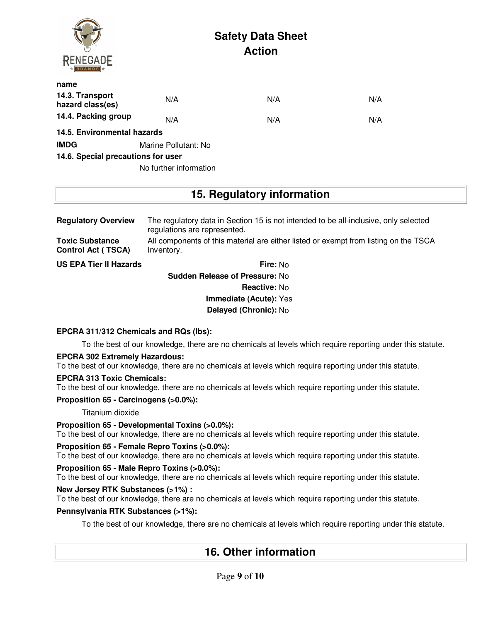| <b>RENEGADE</b>                     |                        | <b>Safety Data Sheet</b><br><b>Action</b> |     |
|-------------------------------------|------------------------|-------------------------------------------|-----|
| name                                |                        |                                           |     |
| 14.3. Transport<br>hazard class(es) | N/A                    | N/A                                       | N/A |
| 14.4. Packing group                 | N/A                    | N/A                                       | N/A |
| 14.5. Environmental hazards         |                        |                                           |     |
| <b>IMDG</b>                         | Marine Pollutant: No   |                                           |     |
| 14.6. Special precautions for user  |                        |                                           |     |
|                                     | No further information |                                           |     |

## **15. Regulatory information**

| <b>Regulatory Overview</b>                          | The regulatory data in Section 15 is not intended to be all-inclusive, only selected<br>regulations are represented. |
|-----------------------------------------------------|----------------------------------------------------------------------------------------------------------------------|
| <b>Toxic Substance</b><br><b>Control Act (TSCA)</b> | All components of this material are either listed or exempt from listing on the TSCA<br>Inventory.                   |
| <b>US EPA Tier II Hazards</b>                       | Fire: No                                                                                                             |

**Sudden Release of Pressure:** No **Reactive:** No **Immediate (Acute):** Yes **Delayed (Chronic):** No

#### **EPCRA 311/312 Chemicals and RQs (lbs):**

To the best of our knowledge, there are no chemicals at levels which require reporting under this statute.

#### **EPCRA 302 Extremely Hazardous:**

To the best of our knowledge, there are no chemicals at levels which require reporting under this statute.

#### **EPCRA 313 Toxic Chemicals:**

To the best of our knowledge, there are no chemicals at levels which require reporting under this statute.

**Proposition 65 - Carcinogens (>0.0%):**

Titanium dioxide

#### **Proposition 65 - Developmental Toxins (>0.0%):**

To the best of our knowledge, there are no chemicals at levels which require reporting under this statute.

#### **Proposition 65 - Female Repro Toxins (>0.0%):**

To the best of our knowledge, there are no chemicals at levels which require reporting under this statute.

#### **Proposition 65 - Male Repro Toxins (>0.0%):**

To the best of our knowledge, there are no chemicals at levels which require reporting under this statute.

### **New Jersey RTK Substances (>1%) :**

To the best of our knowledge, there are no chemicals at levels which require reporting under this statute.

#### **Pennsylvania RTK Substances (>1%):**

To the best of our knowledge, there are no chemicals at levels which require reporting under this statute.

## **16. Other information**